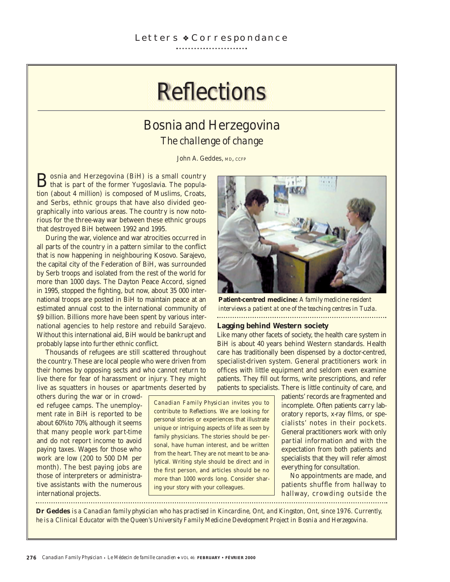# **Reflections**

# Bosnia and Herzegovina *The challenge of change*

John A. Geddes, MD, CCFP

Bosnia and Herzegovina (BiH) is a small country<br>that is part of the former Yugoslavia. The population (about 4 million) is composed of Muslims, Croats, and Serbs, ethnic groups that have also divided geographically into various areas. The country is now notorious for the three-way war between these ethnic groups that destroyed BiH between 1992 and 1995.

During the war, violence and war atrocities occurred in all parts of the country in a pattern similar to the conflict that is now happening in neighbouring Kosovo. Sarajevo, the capital city of the Federation of BiH, was surrounded by Serb troops and isolated from the rest of the world for more than 1000 days. The Dayton Peace Accord, signed in 1995, stopped the fighting, but now, about 35 000 international troops are posted in BiH to maintain peace at an estimated annual cost to the international community of \$9 billion. Billions more have been spent by various international agencies to help restore and rebuild Sarajevo. Without this international aid, BiH would be bankrupt and probably lapse into further ethnic conflict.

Thousands of refugees are still scattered throughout the country. These are local people who were driven from their homes by opposing sects and who cannot return to live there for fear of harassment or injury. They might live as squatters in houses or apartments deserted by

others during the war or in crowded refugee camps. The unemployment rate in BiH is reported to be about 60% to 70%, although it seems that many people work part-time and do not report income to avoid paying taxes. Wages for those who work are low (200 to 500 DM per month). The best paying jobs are those of interpreters or administrative assistants with the numerous international projects. ............................

*Canadian Family Physician* invites you to contribute to *Reflections.* We are looking for personal stories or experiences that illustrate unique or intriguing aspects of life as seen by family physicians. The stories should be personal, have human interest, and be written from the heart. They are not meant to be analytical. Writing style should be direct and in the first person, and articles should be no more than 1000 words long. Consider sharing your story with your colleagues.



**Patient-centred medicine:** *A family medicine resident interviews a patient at one of the teaching centres in Tuzla.*

#### **Lagging behind Western society**

Like many other facets of society, the health care system in BiH is about 40 years behind Western standards. Health care has traditionally been dispensed by a doctor-centred, specialist-driven system. General practitioners work in offices with little equipment and seldom even examine patients. They fill out forms, write prescriptions, and refer patients to specialists. There is little continuity of care, and

> patients' records are fragmented and incomplete. Often patients carry laboratory reports, x-ray films, or specialists' notes in their pockets. General practitioners work with only partial information and with the expectation from both patients and specialists that they will refer almost everything for consultation.

No appointments are made, and patients shuffle from hallway to hallway, crowding outside the

**Dr Geddes** *is a Canadian family physician who has practised in Kincardine, Ont, and Kingston, Ont, since 1976. Currently, he is a Clinical Educator with the Queen's University Family Medicine Development Project in Bosnia and Herzegovina.*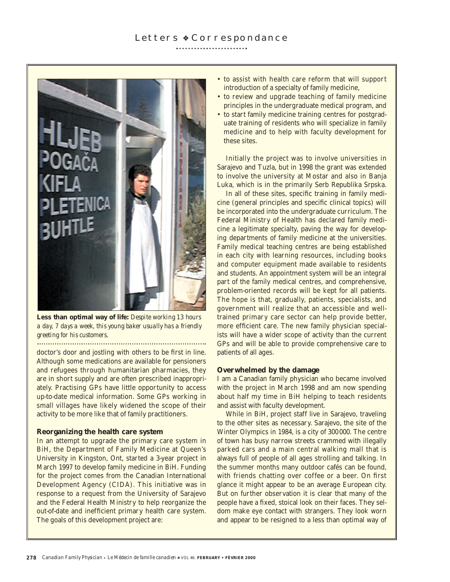

**Less than optimal way of life:** *Despite working 13 hours a day, 7 days a week, this young baker usually has a friendly greeting for his customers.*

doctor's door and jostling with others to be first in line. Although some medications are available for pensioners and refugees through humanitarian pharmacies, they are in short supply and are often prescribed inappropriately. Practising GPs have little opportunity to access up-to-date medical information. Some GPs working in small villages have likely widened the scope of their activity to be more like that of family practitioners.

#### **Reorganizing the health care system**

In an attempt to upgrade the primary care system in BiH, the Department of Family Medicine at Queen's University in Kingston, Ont, started a 3-year project in March 1997 to develop family medicine in BiH. Funding for the project comes from the Canadian International Development Agency (CIDA). This initiative was in response to a request from the University of Sarajevo and the Federal Health Ministry to help reorganize the out-of-date and inefficient primary health care system. The goals of this development project are:

- to assist with health care reform that will support introduction of a specialty of family medicine,
- to review and upgrade teaching of family medicine principles in the undergraduate medical program, and
- to start family medicine training centres for postgraduate training of residents who will specialize in family medicine and to help with faculty development for these sites.

Initially the project was to involve universities in Sarajevo and Tuzla, but in 1998 the grant was extended to involve the university at Mostar and also in Banja Luka, which is in the primarily Serb Republika Srpska.

In all of these sites, specific training in family medicine (general principles and specific clinical topics) will be incorporated into the undergraduate curriculum. The Federal Ministry of Health has declared family medicine a legitimate specialty, paving the way for developing departments of family medicine at the universities. Family medical teaching centres are being established in each city with learning resources, including books and computer equipment made available to residents and students. An appointment system will be an integral part of the family medical centres, and comprehensive, problem-oriented records will be kept for all patients. The hope is that, gradually, patients, specialists, and government will realize that an accessible and welltrained primary care sector can help provide better, more efficient care. The new family physician specialists will have a wider scope of activity than the current GPs and will be able to provide comprehensive care to patients of all ages.

#### **Overwhelmed by the damage**

I am a Canadian family physician who became involved with the project in March 1998 and am now spending about half my time in BiH helping to teach residents and assist with faculty development.

While in BiH, project staff live in Sarajevo, traveling to the other sites as necessary. Sarajevo, the site of the Winter Olympics in 1984, is a city of 300 000. The centre of town has busy narrow streets crammed with illegally parked cars and a main central walking mall that is always full of people of all ages strolling and talking. In the summer months many outdoor cafés can be found, with friends chatting over coffee or a beer. On first glance it might appear to be an average European city. But on further observation it is clear that many of the people have a fixed, stoical look on their faces. They seldom make eye contact with strangers. They look worn and appear to be resigned to a less than optimal way of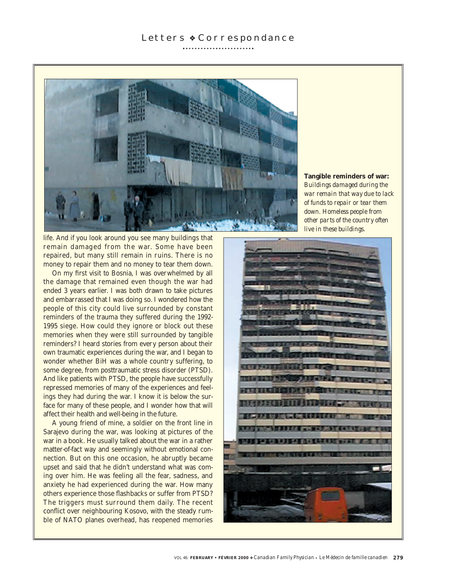

**Tangible reminders of war:** *Buildings damaged during the war remain that way due to lack of funds to repair or tear them down. Homeless people from other parts of the country often live in these buildings.*

life. And if you look around you see many buildings that remain damaged from the war. Some have been repaired, but many still remain in ruins. There is no money to repair them and no money to tear them down.

On my first visit to Bosnia, I was overwhelmed by all the damage that remained even though the war had ended 3 years earlier. I was both drawn to take pictures and embarrassed that I was doing so. I wondered how the people of this city could live surrounded by constant reminders of the trauma they suffered during the 1992- 1995 siege. How could they ignore or block out these memories when they were still surrounded by tangible reminders? I heard stories from every person about their own traumatic experiences during the war, and I began to wonder whether BiH was a whole country suffering, to some degree, from posttraumatic stress disorder (PTSD). And like patients with PTSD, the people have successfully repressed memories of many of the experiences and feelings they had during the war. I know it is below the surface for many of these people, and I wonder how that will affect their health and well-being in the future.

A young friend of mine, a soldier on the front line in Sarajevo during the war, was looking at pictures of the war in a book. He usually talked about the war in a rather matter-of-fact way and seemingly without emotional connection. But on this one occasion, he abruptly became upset and said that he didn't understand what was coming over him. He was feeling all the fear, sadness, and anxiety he had experienced during the war. How many others experience those flashbacks or suffer from PTSD? The triggers must surround them daily. The recent conflict over neighbouring Kosovo, with the steady rumble of NATO planes overhead, has reopened memories